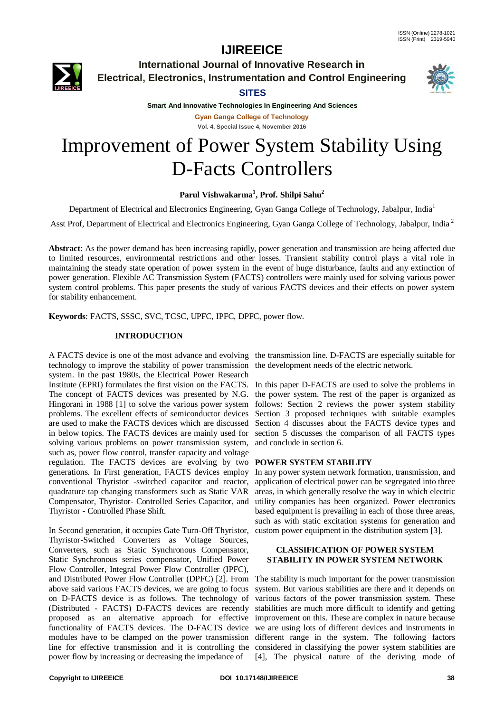

**International Journal of Innovative Research in Electrical, Electronics, Instrumentation and Control Engineering**

### **SITES**



**Smart And Innovative Technologies In Engineering And Sciences Gyan Ganga College of Technology Vol. 4, Special Issue 4, November 2016**

# Improvement of Power System Stability Using D-Facts Controllers

### **Parul Vishwakarma<sup>1</sup> , Prof. Shilpi Sahu<sup>2</sup>**

Department of Electrical and Electronics Engineering, Gyan Ganga College of Technology, Jabalpur, India<sup>1</sup>

Asst Prof, Department of Electrical and Electronics Engineering, Gyan Ganga College of Technology, Jabalpur, India <sup>2</sup>

**Abstract**: As the power demand has been increasing rapidly, power generation and transmission are being affected due to limited resources, environmental restrictions and other losses. Transient stability control plays a vital role in maintaining the steady state operation of power system in the event of huge disturbance, faults and any extinction of power generation. Flexible AC Transmission System (FACTS) controllers were mainly used for solving various power system control problems. This paper presents the study of various FACTS devices and their effects on power system for stability enhancement.

**Keywords**: FACTS, SSSC, SVC, TCSC, UPFC, IPFC, DPFC, power flow.

#### **INTRODUCTION**

A FACTS device is one of the most advance and evolving the transmission line. D-FACTS are especially suitable for technology to improve the stability of power transmission the development needs of the electric network. system. In the past 1980s, the Electrical Power Research Institute (EPRI) formulates the first vision on the FACTS. The concept of FACTS devices was presented by N.G. Hingorani in 1988 [1] to solve the various power system problems. The excellent effects of semiconductor devices are used to make the FACTS devices which are discussed in below topics. The FACTS devices are mainly used for solving various problems on power transmission system, such as, power flow control, transfer capacity and voltage regulation. The FACTS devices are evolving by two **POWER SYSTEM STABILITY** generations. In First generation, FACTS devices employ conventional Thyristor -switched capacitor and reactor, quadrature tap changing transformers such as Static VAR Compensator, Thyristor- Controlled Series Capacitor, and Thyristor - Controlled Phase Shift.

In Second generation, it occupies Gate Turn-Off Thyristor, Thyristor-Switched Converters as Voltage Sources, Converters, such as Static Synchronous Compensator, Static Synchronous series compensator, Unified Power Flow Controller, Integral Power Flow Controller (IPFC), and Distributed Power Flow Controller (DPFC) [2]. From The stability is much important for the power transmission above said various FACTS devices, we are going to focus on D-FACTS device is as follows. The technology of (Distributed - FACTS) D-FACTS devices are recently proposed as an alternative approach for effective improvement on this. These are complex in nature because functionality of FACTS devices. The D-FACTS device modules have to be clamped on the power transmission different range in the system. The following factors line for effective transmission and it is controlling the considered in classifying the power system stabilities are power flow by increasing or decreasing the impedance of

In this paper D-FACTS are used to solve the problems in the power system. The rest of the paper is organized as follows: Section 2 reviews the power system stability Section 3 proposed techniques with suitable examples Section 4 discusses about the FACTS device types and section 5 discusses the comparison of all FACTS types and conclude in section 6.

In any power system network formation, transmission, and application of electrical power can be segregated into three areas, in which generally resolve the way in which electric utility companies has been organized. Power electronics based equipment is prevailing in each of those three areas, such as with static excitation systems for generation and custom power equipment in the distribution system [3].

#### **CLASSIFICATION OF POWER SYSTEM STABILITY IN POWER SYSTEM NETWORK**

system. But various stabilities are there and it depends on various factors of the power transmission system. These stabilities are much more difficult to identify and getting we are using lots of different devices and instruments in [4], The physical nature of the deriving mode of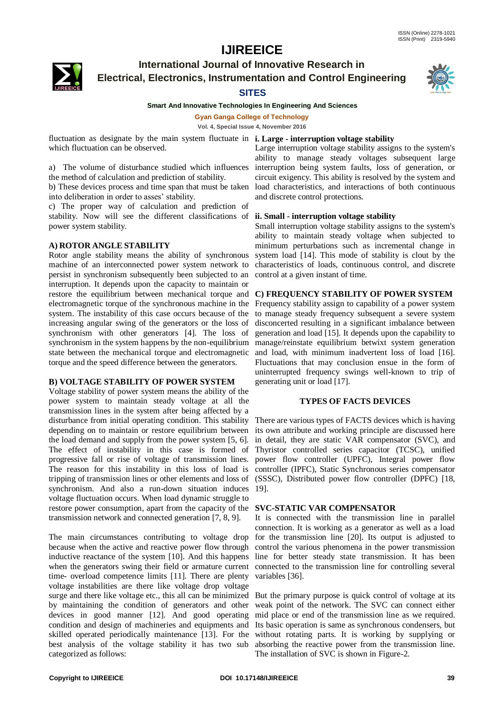

## **International Journal of Innovative Research in Electrical, Electronics, Instrumentation and Control Engineering**

#### **SITES**



#### **Smart And Innovative Technologies In Engineering And Sciences**

**Gyan Ganga College of Technology**

**Vol. 4, Special Issue 4, November 2016**

fluctuation as designate by the main system fluctuate in **i. Large - interruption voltage stability** which fluctuation can be observed.

a) The volume of disturbance studied which influences the method of calculation and prediction of stability.

b) These devices process and time span that must be taken into deliberation in order to asses' stability.

c) The proper way of calculation and prediction of stability. Now will see the different classifications of **ii. Small - interruption voltage stability** power system stability.

#### **A) ROTOR ANGLE STABILITY**

Rotor angle stability means the ability of synchronous machine of an interconnected power system network to persist in synchronism subsequently been subjected to an interruption. It depends upon the capacity to maintain or restore the equilibrium between mechanical torque and electromagnetic torque of the synchronous machine in the system. The instability of this case occurs because of the increasing angular swing of the generators or the loss of synchronism with other generators [4]. The loss of synchronism in the system happens by the non-equilibrium state between the mechanical torque and electromagnetic torque and the speed difference between the generators.

#### **B) VOLTAGE STABILITY OF POWER SYSTEM**

Voltage stability of power system means the ability of the power system to maintain steady voltage at all the transmission lines in the system after being affected by a disturbance from initial operating condition. This stability depending on to maintain or restore equilibrium between the load demand and supply from the power system [5, 6]. The effect of instability in this case is formed of progressive fall or rise of voltage of transmission lines. The reason for this instability in this loss of load is tripping of transmission lines or other elements and loss of synchronism. And also a run-down situation induces 19]. voltage fluctuation occurs. When load dynamic struggle to restore power consumption, apart from the capacity of the **SVC-STATIC VAR COMPENSATOR** transmission network and connected generation [7, 8, 9].

The main circumstances contributing to voltage drop because when the active and reactive power flow through inductive reactance of the system [10]. And this happens when the generators swing their field or armature current time- overload competence limits [11]. There are plenty voltage instabilities are there like voltage drop voltage surge and there like voltage etc., this all can be minimized by maintaining the condition of generators and other devices in good manner [12]. And good operating condition and design of machineries and equipments and skilled operated periodically maintenance [13]. For the best analysis of the voltage stability it has two sub categorized as follows:

Large interruption voltage stability assigns to the system's ability to manage steady voltages subsequent large interruption being system faults, loss of generation, or circuit exigency. This ability is resolved by the system and load characteristics, and interactions of both continuous and discrete control protections.

Small interruption voltage stability assigns to the system's ability to maintain steady voltage when subjected to minimum perturbations such as incremental change in system load [14]. This mode of stability is clout by the characteristics of loads, continuous control, and discrete control at a given instant of time.

#### **C) FREQUENCY STABILITY OF POWER SYSTEM**

Frequency stability assign to capability of a power system to manage steady frequency subsequent a severe system disconcerted resulting in a significant imbalance between generation and load [15]. It depends upon the capability to manage/reinstate equilibrium betwixt system generation and load, with minimum inadvertent loss of load [16]. Fluctuations that may conclusion ensue in the form of uninterrupted frequency swings well-known to trip of generating unit or load [17].

### **TYPES OF FACTS DEVICES**

There are various types of FACTS devices which is having its own attribute and working principle are discussed here in detail, they are static VAR compensator (SVC), and Thyristor controlled series capacitor (TCSC), unified power flow controller (UPFC), Integral power flow controller (IPFC), Static Synchronous series compensator (SSSC), Distributed power flow controller (DPFC) [18,

It is connected with the transmission line in parallel connection. It is working as a generator as well as a load for the transmission line [20]. Its output is adjusted to control the various phenomena in the power transmission line for better steady state transmission. It has been connected to the transmission line for controlling several variables [36].

But the primary purpose is quick control of voltage at its weak point of the network. The SVC can connect either mid place or end of the transmission line as we required. Its basic operation is same as synchronous condensers, but without rotating parts. It is working by supplying or absorbing the reactive power from the transmission line. The installation of SVC is shown in Figure-2.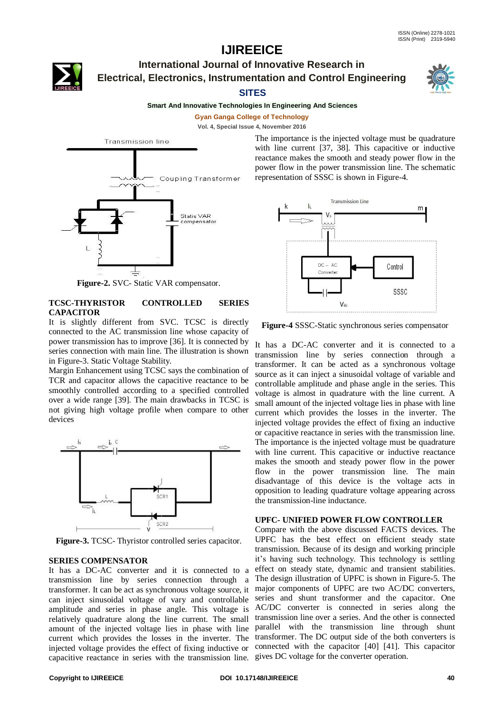**International Journal of Innovative Research in Electrical, Electronics, Instrumentation and Control Engineering**

### **SITES**



**Gyan Ganga College of Technology**

**Vol. 4, Special Issue 4, November 2016**



**Figure-2.** SVC- Static VAR compensator.

#### **TCSC-THYRISTOR CONTROLLED SERIES CAPACITOR**

It is slightly different from SVC. TCSC is directly connected to the AC transmission line whose capacity of power transmission has to improve [36]. It is connected by series connection with main line. The illustration is shown in Figure-3. Static Voltage Stability.

Margin Enhancement using TCSC says the combination of TCR and capacitor allows the capacitive reactance to be smoothly controlled according to a specified controlled over a wide range [39]. The main drawbacks in TCSC is not giving high voltage profile when compare to other devices



**Figure-3.** TCSC- Thyristor controlled series capacitor.

#### **SERIES COMPENSATOR**

It has a DC-AC converter and it is connected to a transmission line by series connection through a transformer. It can be act as synchronous voltage source, it major components of UPFC are two AC/DC converters, can inject sinusoidal voltage of vary and controllable series and shunt transformer and the capacitor. One amplitude and series in phase angle. This voltage is AC/DC converter is connected in series along the relatively quadrature along the line current. The small transmission line over a series. And the other is connected amount of the injected voltage lies in phase with line parallel with the transmission line through shunt current which provides the losses in the inverter. The transformer. The DC output side of the both converters is injected voltage provides the effect of fixing inductive or connected with the capacitor [40] [41]. This capacitor capacitive reactance in series with the transmission line. gives DC voltage for the converter operation.

The importance is the injected voltage must be quadrature with line current [37, 38]. This capacitive or inductive reactance makes the smooth and steady power flow in the power flow in the power transmission line. The schematic representation of SSSC is shown in Figure-4.



**Figure-4** SSSC-Static synchronous series compensator

It has a DC-AC converter and it is connected to a transmission line by series connection through a transformer. It can be acted as a synchronous voltage source as it can inject a sinusoidal voltage of variable and controllable amplitude and phase angle in the series. This voltage is almost in quadrature with the line current. A small amount of the injected voltage lies in phase with line current which provides the losses in the inverter. The injected voltage provides the effect of fixing an inductive or capacitive reactance in series with the transmission line. The importance is the injected voltage must be quadrature with line current. This capacitive or inductive reactance makes the smooth and steady power flow in the power flow in the power transmission line. The main disadvantage of this device is the voltage acts in opposition to leading quadrature voltage appearing across the transmission-line inductance.

#### **UPFC- UNIFIED POWER FLOW CONTROLLER**

Compare with the above discussed FACTS devices. The UPFC has the best effect on efficient steady state transmission. Because of its design and working principle it's having such technology. This technology is settling effect on steady state, dynamic and transient stabilities. The design illustration of UPFC is shown in Figure-5. The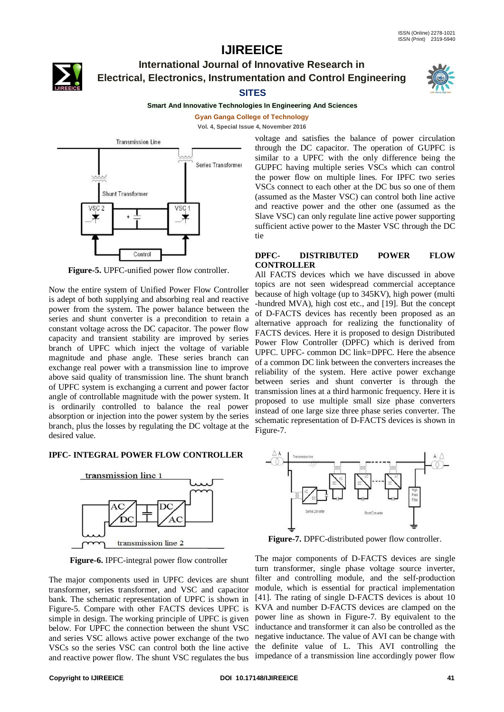

## **International Journal of Innovative Research in Electrical, Electronics, Instrumentation and Control Engineering**





#### **Smart And Innovative Technologies In Engineering And Sciences**

**Gyan Ganga College of Technology Vol. 4, Special Issue 4, November 2016**



**Figure-5.** UPFC-unified power flow controller.

Now the entire system of Unified Power Flow Controller is adept of both supplying and absorbing real and reactive power from the system. The power balance between the series and shunt converter is a precondition to retain a constant voltage across the DC capacitor. The power flow capacity and transient stability are improved by series branch of UPFC which inject the voltage of variable magnitude and phase angle. These series branch can exchange real power with a transmission line to improve above said quality of transmission line. The shunt branch of UPFC system is exchanging a current and power factor angle of controllable magnitude with the power system. It is ordinarily controlled to balance the real power absorption or injection into the power system by the series branch, plus the losses by regulating the DC voltage at the desired value.

### **IPFC- INTEGRAL POWER FLOW CONTROLLER**



**Figure-6.** IPFC-integral power flow controller

The major components used in UPFC devices are shunt transformer, series transformer, and VSC and capacitor bank. The schematic representation of UPFC is shown in Figure-5. Compare with other FACTS devices UPFC is simple in design. The working principle of UPFC is given below. For UPFC the connection between the shunt VSC and series VSC allows active power exchange of the two and reactive power flow. The shunt VSC regulates the bus

voltage and satisfies the balance of power circulation through the DC capacitor. The operation of GUPFC is similar to a UPFC with the only difference being the GUPFC having multiple series VSCs which can control the power flow on multiple lines. For IPFC two series VSCs connect to each other at the DC bus so one of them (assumed as the Master VSC) can control both line active and reactive power and the other one (assumed as the Slave VSC) can only regulate line active power supporting sufficient active power to the Master VSC through the DC tie

#### **DPFC- DISTRIBUTED POWER FLOW CONTROLLER**

All FACTS devices which we have discussed in above topics are not seen widespread commercial acceptance because of high voltage (up to 345KV), high power (multi -hundred MVA), high cost etc., and [19]. But the concept of D-FACTS devices has recently been proposed as an alternative approach for realizing the functionality of FACTS devices. Here it is proposed to design Distributed Power Flow Controller (DPFC) which is derived from UPFC. UPFC- common DC link=DPFC. Here the absence of a common DC link between the converters increases the reliability of the system. Here active power exchange between series and shunt converter is through the transmission lines at a third harmonic frequency. Here it is proposed to use multiple small size phase converters instead of one large size three phase series converter. The schematic representation of D-FACTS devices is shown in Figure-7.



**Figure-7.** DPFC-distributed power flow controller.

VSCs so the series VSC can control both the line active the definite value of L. This AVI controlling the The major components of D-FACTS devices are single turn transformer, single phase voltage source inverter, filter and controlling module, and the self-production module, which is essential for practical implementation [41]. The rating of single D-FACTS devices is about 10 KVA and number D-FACTS devices are clamped on the power line as shown in Figure-7. By equivalent to the inductance and transformer it can also be controlled as the negative inductance. The value of AVI can be change with impedance of a transmission line accordingly power flow